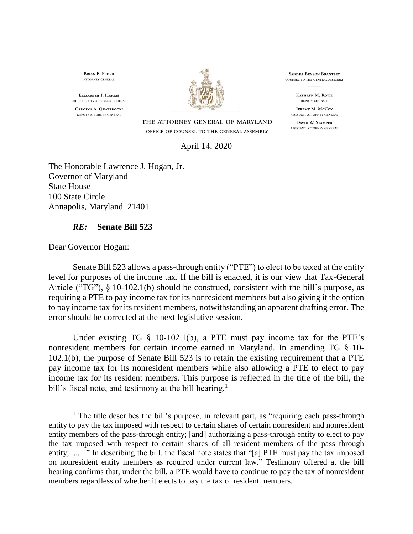**BRIAN E. FROSH** ATTORNEY GENERAL

**ELIZABETH E HARRIS** CHIEF DEPUTY ATTORNEY GENERAL CAROLYN A. QUATTROCKI DEPUTY ATTORNEY GENERAL



THE ATTORNEY GENERAL OF MARYLAND OFFICE OF COUNSEL TO THE GENERAL ASSEMBLY

**SANDRA BENSON BRANTLEY** COUNSEL TO THE GENERAL ASSEMBLY

> **KATHRYN M. ROWE** DEPUTY COUNSEL

**JEREMY M. McCoy** ASSISTANT ATTORNEY GENERAL

DAVID W. STAMPER ASSISTANT ATTORNEY GENERAL

April 14, 2020

The Honorable Lawrence J. Hogan, Jr. Governor of Maryland State House 100 State Circle Annapolis, Maryland 21401

## *RE:* **Senate Bill 523**

Dear Governor Hogan:

 $\overline{a}$ 

Senate Bill 523 allows a pass-through entity ("PTE") to elect to be taxed at the entity level for purposes of the income tax. If the bill is enacted, it is our view that Tax-General Article ("TG"), § 10-102.1(b) should be construed, consistent with the bill's purpose, as requiring a PTE to pay income tax for its nonresident members but also giving it the option to pay income tax for its resident members, notwithstanding an apparent drafting error. The error should be corrected at the next legislative session.

Under existing TG § 10-102.1(b), a PTE must pay income tax for the PTE's nonresident members for certain income earned in Maryland. In amending TG § 10- 102.1(b), the purpose of Senate Bill 523 is to retain the existing requirement that a PTE pay income tax for its nonresident members while also allowing a PTE to elect to pay income tax for its resident members. This purpose is reflected in the title of the bill, the bill's fiscal note, and testimony at the bill hearing.<sup>1</sup>

 $<sup>1</sup>$  The title describes the bill's purpose, in relevant part, as "requiring each pass-through</sup> entity to pay the tax imposed with respect to certain shares of certain nonresident and nonresident entity members of the pass-through entity; [and] authorizing a pass-through entity to elect to pay the tax imposed with respect to certain shares of all resident members of the pass through entity; ... ." In describing the bill, the fiscal note states that "[a] PTE must pay the tax imposed on nonresident entity members as required under current law." Testimony offered at the bill hearing confirms that, under the bill, a PTE would have to continue to pay the tax of nonresident members regardless of whether it elects to pay the tax of resident members.